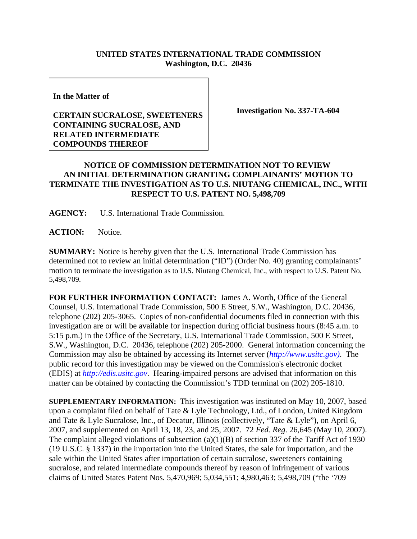## **UNITED STATES INTERNATIONAL TRADE COMMISSION Washington, D.C. 20436**

**In the Matter of**

## **CERTAIN SUCRALOSE, SWEETENERS CONTAINING SUCRALOSE, AND RELATED INTERMEDIATE COMPOUNDS THEREOF**

**Investigation No. 337-TA-604**

## **NOTICE OF COMMISSION DETERMINATION NOT TO REVIEW AN INITIAL DETERMINATION GRANTING COMPLAINANTS' MOTION TO TERMINATE THE INVESTIGATION AS TO U.S. NIUTANG CHEMICAL, INC., WITH RESPECT TO U.S. PATENT NO. 5,498,709**

**AGENCY:** U.S. International Trade Commission.

**ACTION:** Notice.

**SUMMARY:** Notice is hereby given that the U.S. International Trade Commission has determined not to review an initial determination ("ID") (Order No. 40) granting complainants' motion to terminate the investigation as to U.S. Niutang Chemical, Inc., with respect to U.S. Patent No. 5,498,709.

**FOR FURTHER INFORMATION CONTACT:** James A. Worth, Office of the General Counsel, U.S. International Trade Commission, 500 E Street, S.W., Washington, D.C. 20436, telephone (202) 205-3065. Copies of non-confidential documents filed in connection with this investigation are or will be available for inspection during official business hours (8:45 a.m. to 5:15 p.m.) in the Office of the Secretary, U.S. International Trade Commission, 500 E Street, S.W., Washington, D.C. 20436, telephone (202) 205-2000. General information concerning the Commission may also be obtained by accessing its Internet server (*http://www.usitc.gov)*. The public record for this investigation may be viewed on the Commission's electronic docket (EDIS) at *http://edis.usitc.gov*. Hearing-impaired persons are advised that information on this matter can be obtained by contacting the Commission's TDD terminal on (202) 205-1810.

**SUPPLEMENTARY INFORMATION:** This investigation was instituted on May 10, 2007, based upon a complaint filed on behalf of Tate & Lyle Technology, Ltd., of London, United Kingdom and Tate & Lyle Sucralose, Inc., of Decatur, Illinois (collectively, "Tate & Lyle"), on April 6, 2007, and supplemented on April 13, 18, 23, and 25, 2007. 72 *Fed. Reg*. 26,645 (May 10, 2007). The complaint alleged violations of subsection (a)(1)(B) of section 337 of the Tariff Act of 1930 (19 U.S.C. § 1337) in the importation into the United States, the sale for importation, and the sale within the United States after importation of certain sucralose, sweeteners containing sucralose, and related intermediate compounds thereof by reason of infringement of various claims of United States Patent Nos. 5,470,969; 5,034,551; 4,980,463; 5,498,709 ("the '709